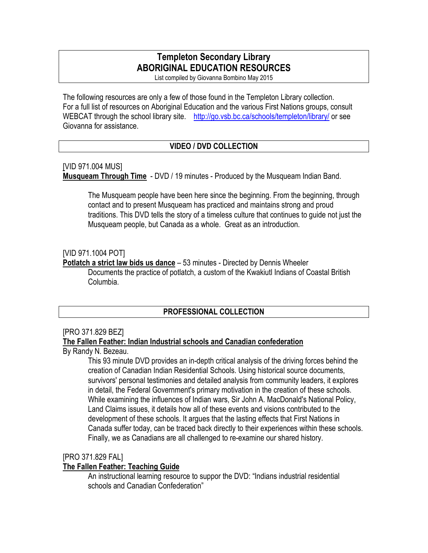# **Templeton Secondary Library ABORIGINAL EDUCATION RESOURCES**

List compiled by Giovanna Bombino May 2015

The following resources are only a few of those found in the Templeton Library collection. For a full list of resources on Aboriginal Education and the various First Nations groups, consult WEBCAT through the school library site. http://go.vsb.bc.ca/schools/templeton/library/ or see Giovanna for assistance.

# **VIDEO / DVD COLLECTION**

#### [VID 971.004 MUS]

**Musqueam Through Time** - DVD / 19 minutes - Produced by the Musqueam Indian Band.

The Musqueam people have been here since the beginning. From the beginning, through contact and to present Musqueam has practiced and maintains strong and proud traditions. This DVD tells the story of a timeless culture that continues to guide not just the Musqueam people, but Canada as a whole. Great as an introduction.

# [VID 971.1004 POT]

**Potlatch a strict law bids us dance** – 53 minutes - Directed by Dennis Wheeler

Documents the practice of potlatch, a custom of the Kwakiutl Indians of Coastal British Columbia.

# **PROFESSIONAL COLLECTION**

#### [PRO 371.829 BEZ]

# **The Fallen Feather: Indian Industrial schools and Canadian confederation**

By Randy N. Bezeau.

This 93 minute DVD provides an in-depth critical analysis of the driving forces behind the creation of Canadian Indian Residential Schools. Using historical source documents, survivors' personal testimonies and detailed analysis from community leaders, it explores in detail, the Federal Government's primary motivation in the creation of these schools. While examining the influences of Indian wars, Sir John A. MacDonald's National Policy, Land Claims issues, it details how all of these events and visions contributed to the development of these schools. It argues that the lasting effects that First Nations in Canada suffer today, can be traced back directly to their experiences within these schools. Finally, we as Canadians are all challenged to re-examine our shared history.

#### [PRO 371.829 FAL]

#### **The Fallen Feather: Teaching Guide**

An instructional learning resource to suppor the DVD: "Indians industrial residential schools and Canadian Confederation"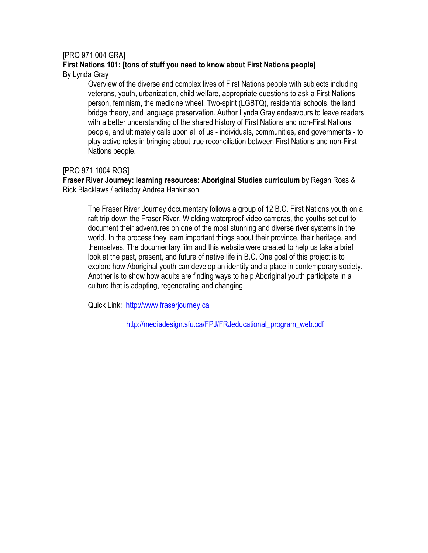# [PRO 971.004 GRA]

# **First Nations 101: [tons of stuff you need to know about First Nations people**]

By Lynda Gray

 Overview of the diverse and complex lives of First Nations people with subjects including veterans, youth, urbanization, child welfare, appropriate questions to ask a First Nations person, feminism, the medicine wheel, Two-spirit (LGBTQ), residential schools, the land bridge theory, and language preservation. Author Lynda Gray endeavours to leave readers with a better understanding of the shared history of First Nations and non-First Nations people, and ultimately calls upon all of us - individuals, communities, and governments - to play active roles in bringing about true reconciliation between First Nations and non-First Nations people.

# [PRO 971.1004 ROS]

**Fraser River Journey: learning resources: Aboriginal Studies curriculum** by Regan Ross & Rick Blacklaws / editedby Andrea Hankinson.

The Fraser River Journey documentary follows a group of 12 B.C. First Nations youth on a raft trip down the Fraser River. Wielding waterproof video cameras, the youths set out to document their adventures on one of the most stunning and diverse river systems in the world. In the process they learn important things about their province, their heritage, and themselves. The documentary film and this website were created to help us take a brief look at the past, present, and future of native life in B.C. One goal of this project is to explore how Aboriginal youth can develop an identity and a place in contemporary society. Another is to show how adults are finding ways to help Aboriginal youth participate in a culture that is adapting, regenerating and changing.

Quick Link: http://www.fraserjourney.ca

http://mediadesign.sfu.ca/FPJ/FRJeducational\_program\_web.pdf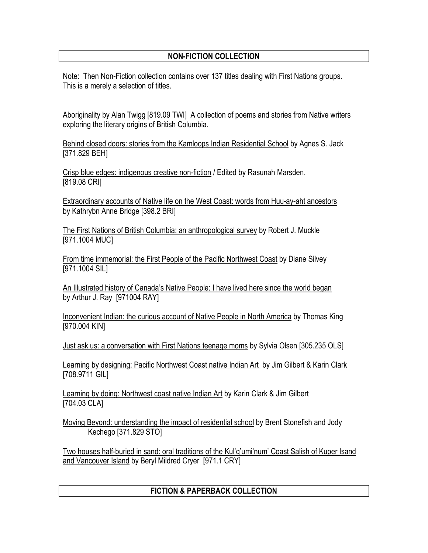# **NON-FICTION COLLECTION**

Note: Then Non-Fiction collection contains over 137 titles dealing with First Nations groups. This is a merely a selection of titles.

Aboriginality by Alan Twigg [819.09 TWI] A collection of poems and stories from Native writers exploring the literary origins of British Columbia.

Behind closed doors: stories from the Kamloops Indian Residential School by Agnes S. Jack [371.829 BEH]

Crisp blue edges: indigenous creative non-fiction / Edited by Rasunah Marsden. [819.08 CRI]

Extraordinary accounts of Native life on the West Coast: words from Huu-ay-aht ancestors by Kathrybn Anne Bridge [398.2 BRI]

The First Nations of British Columbia: an anthropological survey by Robert J. Muckle [971.1004 MUC]

From time immemorial: the First People of the Pacific Northwest Coast by Diane Silvey [971.1004 SIL]

An Illustrated history of Canada's Native People: I have lived here since the world began by Arthur J. Ray [971004 RAY]

Inconvenient Indian: the curious account of Native People in North America by Thomas King [970.004 KIN]

Just ask us: a conversation with First Nations teenage moms by Sylvia Olsen [305.235 OLS]

Learning by designing: Pacific Northwest Coast native Indian Art by Jim Gilbert & Karin Clark [708.9711 GIL]

Learning by doing: Northwest coast native Indian Art by Karin Clark & Jim Gilbert [704.03 CLA]

Moving Beyond: understanding the impact of residential school by Brent Stonefish and Jody Kechego [371.829 STO]

Two houses half-buried in sand: oral traditions of the Kul'q'umi'num' Coast Salish of Kuper Isand and Vancouver Island by Beryl Mildred Cryer [971.1 CRY]

# **FICTION & PAPERBACK COLLECTION**